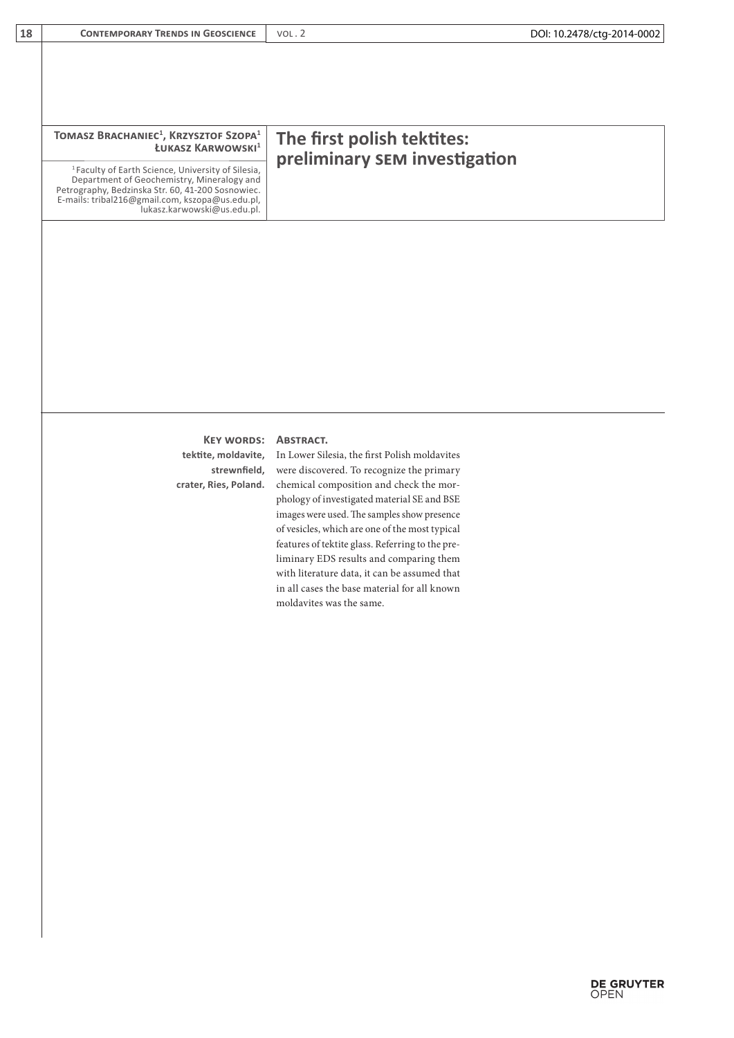| TOMASZ BRACHANIEC <sup>1</sup> , KRZYSZTOF SZOPA <sup>1</sup><br>ŁUKASZ KARWOWSKI <sup>1</sup>                                                                                                                                                     | The first polish tektites:<br>preliminary SEM investigation |
|----------------------------------------------------------------------------------------------------------------------------------------------------------------------------------------------------------------------------------------------------|-------------------------------------------------------------|
| <sup>1</sup> Faculty of Earth Science, University of Silesia,<br>Department of Geochemistry, Mineralogy and<br>Petrography, Bedzinska Str. 60, 41-200 Sosnowiec.<br>E-mails: tribal216@gmail.com, kszopa@us.edu.pl,<br>lukasz.karwowski@us.edu.pl. |                                                             |

## **Key words: Abstract.**

**strewnfield,** 

**tektite, moldavite,** In Lower Silesia, the first Polish moldavites crater, Ries, Poland. chemical composition and check the morwere discovered. To recognize the primary phology of investigated material SE and BSE images were used. The samples show presence of vesicles, which are one of the most typical features of tektite glass. Referring to the preliminary EDS results and comparing them with literature data, it can be assumed that in all cases the base material for all known moldavites was the same.

DOI: 10.2478/ctg-2014-0002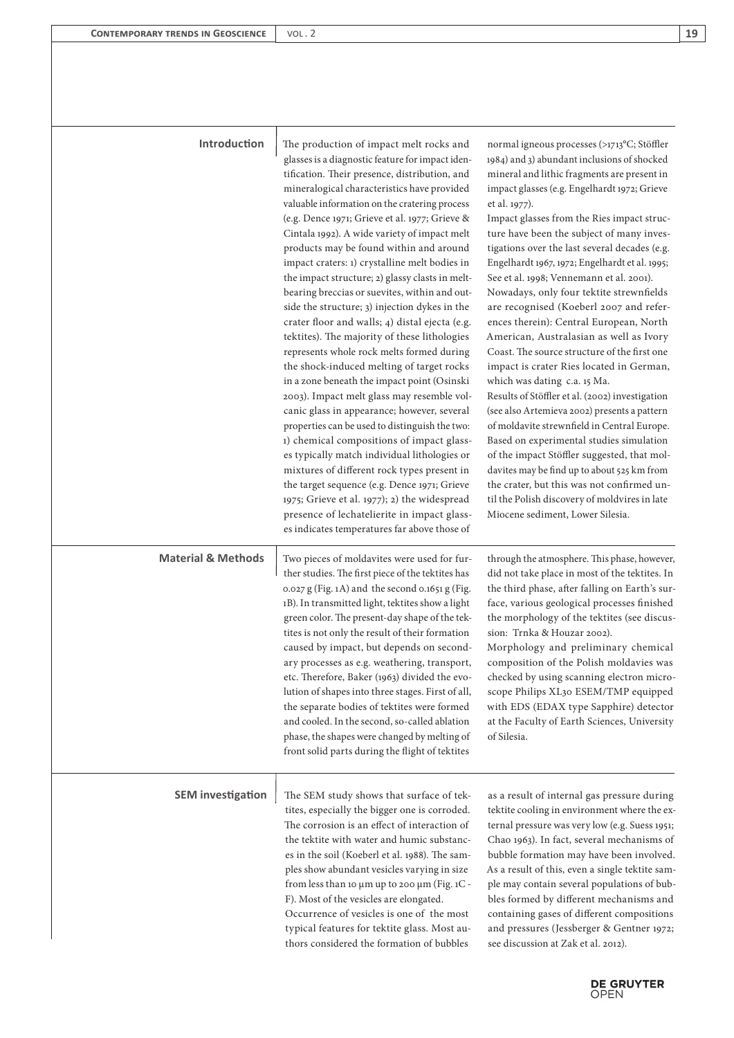## **Introduction**

The production of impact melt rocks and glasses is a diagnostic feature for impact identification. Their presence, distribution, and mineralogical characteristics have provided valuable information on the cratering process (e.g. Dence 1971; Grieve et al. 1977; Grieve & Cintala 1992). A wide variety of impact melt products may be found within and around impact craters: 1) crystalline melt bodies in the impact structure; 2) glassy clasts in meltbearing breccias or suevites, within and outside the structure; 3) injection dykes in the crater floor and walls; 4) distal ejecta (e.g. tektites). The majority of these lithologies represents whole rock melts formed during the shock-induced melting of target rocks in a zone beneath the impact point (Osinski 2003). Impact melt glass may resemble volcanic glass in appearance; however, several properties can be used to distinguish the two: 1) chemical compositions of impact glasses typically match individual lithologies or mixtures of different rock types present in the target sequence (e.g. Dence 1971; Grieve 1975; Grieve et al. 1977); 2) the widespread presence of lechatelierite in impact glasses indicates temperatures far above those of

**Material & Methods** Two pieces of moldavites were used for further studies. The first piece of the tektites has 0.027 g (Fig. 1A) and the second 0.1651 g (Fig. 1B). In transmitted light, tektites show a light green color. The present-day shape of the tektites is not only the result of their formation caused by impact, but depends on secondary processes as e.g. weathering, transport, etc. Therefore, Baker (1963) divided the evolution of shapes into three stages. First of all, the separate bodies of tektites were formed and cooled. In the second, so-called ablation phase, the shapes were changed by melting of front solid parts during the flight of tektites

normal igneous processes (>1713°C; Stöffler 1984) and 3) abundant inclusions of shocked mineral and lithic fragments are present in impact glasses (e.g. Engelhardt 1972; Grieve et al. 1977).

Impact glasses from the Ries impact structure have been the subject of many investigations over the last several decades (e.g. Engelhardt 1967, 1972; Engelhardt et al. 1995; See et al. 1998; Vennemann et al. 2001). Nowadays, only four tektite strewnfields are recognised (Koeberl 2007 and references therein): Central European, North American, Australasian as well as Ivory Coast. The source structure of the first one impact is crater Ries located in German, which was dating c.a. 15 Ma. Results of Stöffler et al. (2002) investigation (see also Artemieva 2002) presents a pattern

of moldavite strewnfield in Central Europe. Based on experimental studies simulation of the impact Stöffler suggested, that moldavites may be find up to about 525 km from the crater, but this was not confirmed until the Polish discovery of moldvires in late Miocene sediment, Lower Silesia.

through the atmosphere. This phase, however, did not take place in most of the tektites. In the third phase, after falling on Earth's surface, various geological processes finished the morphology of the tektites (see discussion: Trnka & Houzar 2002). Morphology and preliminary chemical composition of the Polish moldavies was checked by using scanning electron microscope Philips XL30 ESEM/TMP equipped with EDS (EDAX type Sapphire) detector at the Faculty of Earth Sciences, University of Silesia.

**SEM investigation** The SEM study shows that surface of tektites, especially the bigger one is corroded. The corrosion is an effect of interaction of the tektite with water and humic substances in the soil (Koeberl et al. 1988). The samples show abundant vesicles varying in size from less than 10 µm up to 200 µm (Fig. 1C - F). Most of the vesicles are elongated. Occurrence of vesicles is one of the most

typical features for tektite glass. Most authors considered the formation of bubbles

as a result of internal gas pressure during tektite cooling in environment where the external pressure was very low (e.g. Suess 1951; Chao 1963). In fact, several mechanisms of bubble formation may have been involved. As a result of this, even a single tektite sample may contain several populations of bubbles formed by different mechanisms and containing gases of different compositions and pressures (Jessberger & Gentner 1972; see discussion at Zak et al. 2012).

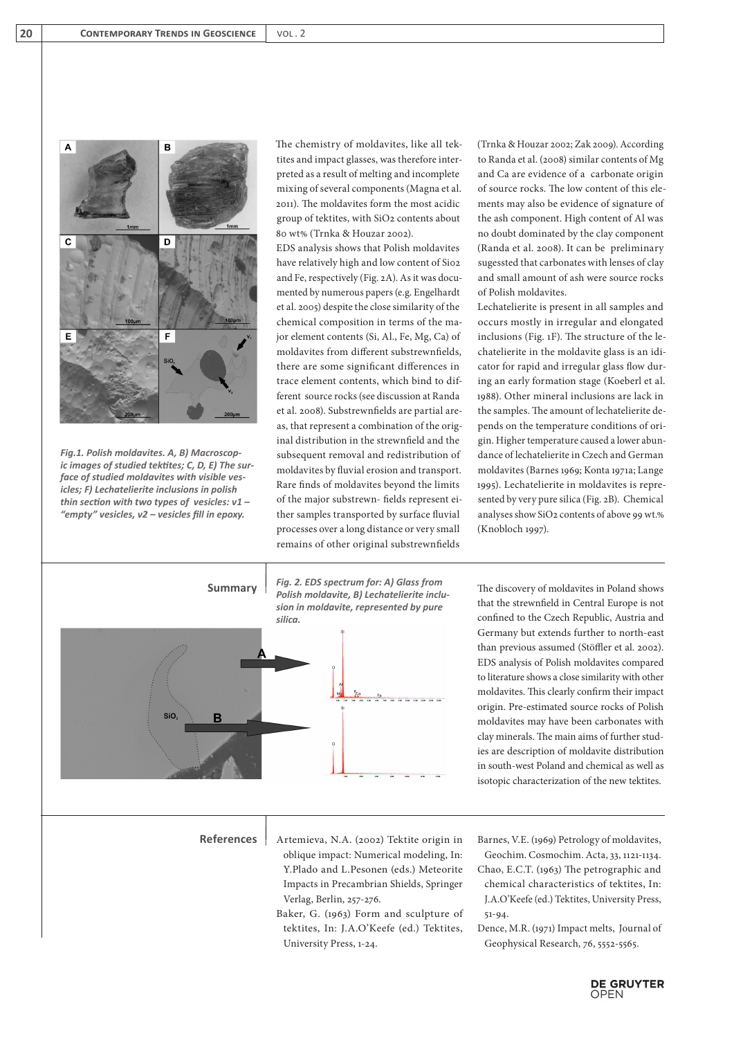

*Fig.1. Polish moldavites. A, B) Macroscopic images of studied tektites; C, D, E) The surface of studied moldavites with visible vesicles; F) Lechatelierite inclusions in polish thin section with two types of vesicles: v1 – "empty" vesicles, v2 – vesicles fill in epoxy.* 

The chemistry of moldavites, like all tektites and impact glasses, was therefore interpreted as a result of melting and incomplete mixing of several components (Magna et al. 2011). The moldavites form the most acidic group of tektites, with SiO2 contents about 80 wt% (Trnka & Houzar 2002).

EDS analysis shows that Polish moldavites have relatively high and low content of Sio2 and Fe, respectively (Fig. 2A). As it was documented by numerous papers (e.g. Engelhardt et al. 2005) despite the close similarity of the chemical composition in terms of the major element contents (Si, Al., Fe, Mg, Ca) of moldavites from different substrewnfields, there are some significant differences in trace element contents, which bind to different source rocks (see discussion at Randa et al. 2008). Substrewnfields are partial areas, that represent a combination of the original distribution in the strewnfield and the subsequent removal and redistribution of moldavites by fluvial erosion and transport. Rare finds of moldavites beyond the limits of the major substrewn- fields represent either samples transported by surface fluvial processes over a long distance or very small remains of other original substrewnfields

(Trnka & Houzar 2002; Zak 2009). According to Randa et al. (2008) similar contents of Mg and Ca are evidence of a carbonate origin of source rocks. The low content of this elements may also be evidence of signature of the ash component. High content of Al was no doubt dominated by the clay component (Randa et al. 2008). It can be preliminary sugessted that carbonates with lenses of clay and small amount of ash were source rocks of Polish moldavites.

Lechatelierite is present in all samples and occurs mostly in irregular and elongated inclusions (Fig. 1F). The structure of the lechatelierite in the moldavite glass is an idicator for rapid and irregular glass flow during an early formation stage (Koeberl et al. 1988). Other mineral inclusions are lack in the samples. The amount of lechatelierite depends on the temperature conditions of origin. Higher temperature caused a lower abundance of lechatelierite in Czech and German moldavites (Barnes 1969; Konta 1971a; Lange 1995). Lechatelierite in moldavites is represented by very pure silica (Fig. 2B). Chemical analyses show SiO2 contents of above 99 wt.% (Knobloch 1997).



University Press, 1-24.

that the strewnfield in Central Europe is not confined to the Czech Republic, Austria and Germany but extends further to north-east than previous assumed (Stöffler et al. 2002). EDS analysis of Polish moldavites compared to literature shows a close similarity with other moldavites. This clearly confirm their impact origin. Pre-estimated source rocks of Polish moldavites may have been carbonates with clay minerals. The main aims of further studies are description of moldavite distribution in south-west Poland and chemical as well as isotopic characterization of the new tektites.

Barnes, V.E. (1969) Petrology of moldavites, Geochim. Cosmochim. Acta, 33, 1121-1134. Chao, E.C.T. (1963) The petrographic and chemical characteristics of tektites, In: J.A.O'Keefe (ed.) Tektites, University Press,

Dence, M.R. (1971) Impact melts, Journal of Geophysical Research, 76, 5552-5565.

**DE GRUYTER**<br>OPEN